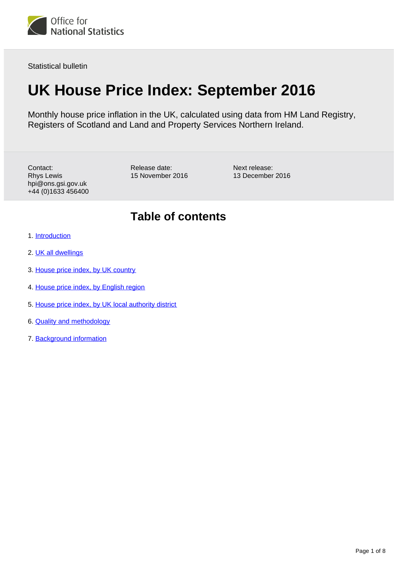

Statistical bulletin

# **UK House Price Index: September 2016**

Monthly house price inflation in the UK, calculated using data from HM Land Registry, Registers of Scotland and Land and Property Services Northern Ireland.

Contact: Rhys Lewis hpi@ons.gsi.gov.uk +44 (0)1633 456400 Release date: 15 November 2016 Next release: 13 December 2016

### **Table of contents**

- 1. [Introduction](#page-1-0)
- 2. [UK all dwellings](#page-1-1)
- 3. [House price index, by UK country](#page-2-0)
- 4. [House price index, by English region](#page-3-0)
- 5. [House price index, by UK local authority district](#page-5-0)
- 6. [Quality and methodology](#page-6-0)
- 7. Background information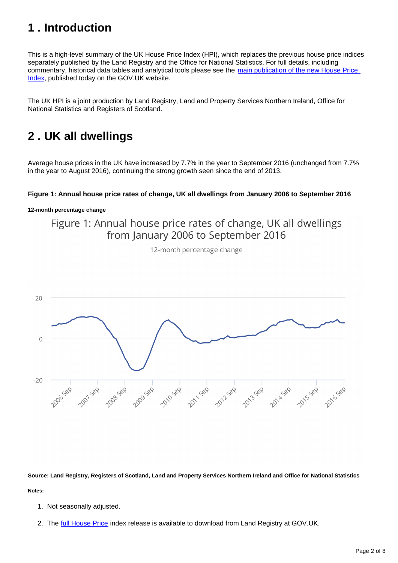## <span id="page-1-0"></span>**1 . Introduction**

This is a high-level summary of the UK House Price Index (HPI), which replaces the previous house price indices separately published by the Land Registry and the Office for National Statistics. For full details, including commentary, historical data tables and analytical tools please see the main publication of the new House Price [Index](https://www.gov.uk/government/collections/uk-house-price-index-reports), published today on the GOV.UK website.

The UK HPI is a joint production by Land Registry, Land and Property Services Northern Ireland, Office for National Statistics and Registers of Scotland.

### <span id="page-1-1"></span>**2 . UK all dwellings**

Average house prices in the UK have increased by 7.7% in the year to September 2016 (unchanged from 7.7% in the year to August 2016), continuing the strong growth seen since the end of 2013.

#### **Figure 1: Annual house price rates of change, UK all dwellings from January 2006 to September 2016**

**12-month percentage change**

Figure 1: Annual house price rates of change, UK all dwellings from January 2006 to September 2016

12-month percentage change



**Source: Land Registry, Registers of Scotland, Land and Property Services Northern Ireland and Office for National Statistics Notes:**

- 1. Not seasonally adjusted.
- 2. The <u>[full House Price](https://www.gov.uk/government/collections/uk-house-price-index-reports)</u> index release is available to download from Land Registry at GOV.UK.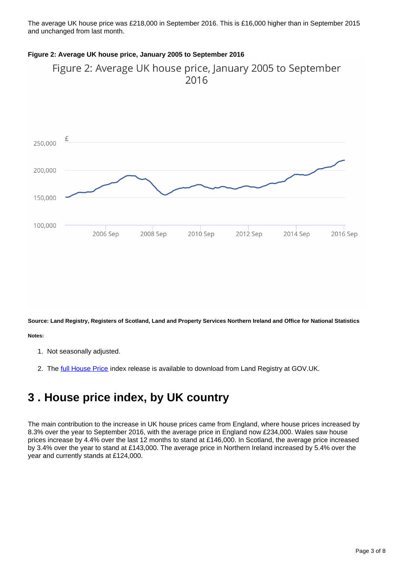The average UK house price was £218,000 in September 2016. This is £16,000 higher than in September 2015 and unchanged from last month.

#### **Figure 2: Average UK house price, January 2005 to September 2016**





**Source: Land Registry, Registers of Scotland, Land and Property Services Northern Ireland and Office for National Statistics**

**Notes:**

- 1. Not seasonally adjusted.
- 2. The <u>[full House Price](https://www.gov.uk/government/collections/uk-house-price-index-reports)</u> index release is available to download from Land Registry at GOV.UK.

### <span id="page-2-0"></span>**3 . House price index, by UK country**

The main contribution to the increase in UK house prices came from England, where house prices increased by 8.3% over the year to September 2016, with the average price in England now £234,000. Wales saw house prices increase by 4.4% over the last 12 months to stand at £146,000. In Scotland, the average price increased by 3.4% over the year to stand at £143,000. The average price in Northern Ireland increased by 5.4% over the year and currently stands at £124,000.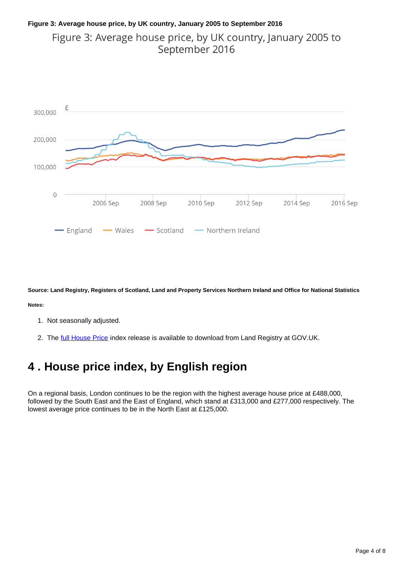### **Figure 3: Average house price, by UK country, January 2005 to September 2016** Figure 3: Average house price, by UK country, January 2005 to September 2016



**Source: Land Registry, Registers of Scotland, Land and Property Services Northern Ireland and Office for National Statistics**

**Notes:**

- 1. Not seasonally adjusted.
- 2. The <u>[full House Price](https://www.gov.uk/government/collections/uk-house-price-index-reports)</u> index release is available to download from Land Registry at GOV.UK.

## <span id="page-3-0"></span>**4 . House price index, by English region**

On a regional basis, London continues to be the region with the highest average house price at £488,000, followed by the South East and the East of England, which stand at £313,000 and £277,000 respectively. The lowest average price continues to be in the North East at £125,000.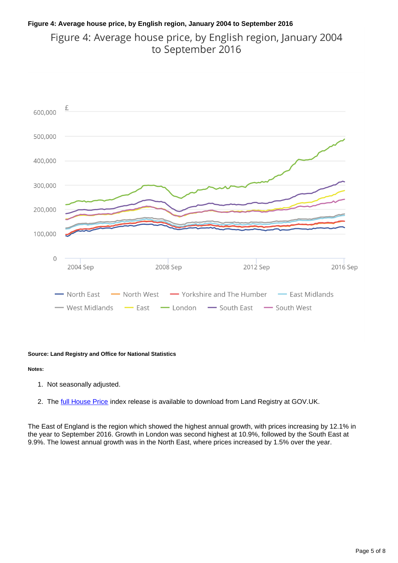### **Figure 4: Average house price, by English region, January 2004 to September 2016** Figure 4: Average house price, by English region, January 2004 to September 2016



#### **Source: Land Registry and Office for National Statistics**

#### **Notes:**

- 1. Not seasonally adjusted.
- 2. The <u>[full House Price](https://www.gov.uk/government/collections/uk-house-price-index-reports)</u> index release is available to download from Land Registry at GOV.UK.

The East of England is the region which showed the highest annual growth, with prices increasing by 12.1% in the year to September 2016. Growth in London was second highest at 10.9%, followed by the South East at 9.9%. The lowest annual growth was in the North East, where prices increased by 1.5% over the year.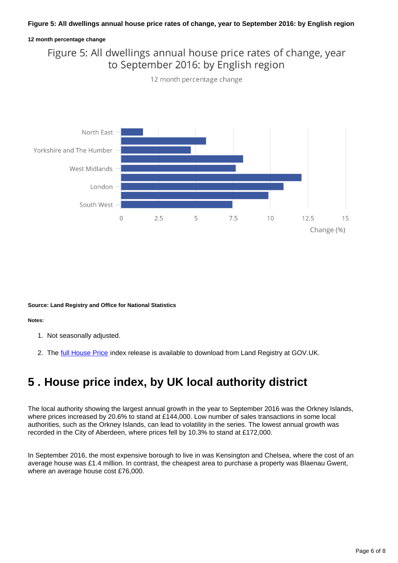#### **Figure 5: All dwellings annual house price rates of change, year to September 2016: by English region**

#### **12 month percentage change**

### Figure 5: All dwellings annual house price rates of change, year to September 2016: by English region

12 month percentage change



**Source: Land Registry and Office for National Statistics**

**Notes:**

- 1. Not seasonally adjusted.
- 2. The [full House Price](https://www.gov.uk/government/collections/uk-house-price-index-reports) index release is available to download from Land Registry at GOV.UK.

### <span id="page-5-0"></span>**5 . House price index, by UK local authority district**

The local authority showing the largest annual growth in the year to September 2016 was the Orkney Islands, where prices increased by 20.6% to stand at £144,000. Low number of sales transactions in some local authorities, such as the Orkney Islands, can lead to volatility in the series. The lowest annual growth was recorded in the City of Aberdeen, where prices fell by 10.3% to stand at £172,000.

In September 2016, the most expensive borough to live in was Kensington and Chelsea, where the cost of an average house was £1.4 million. In contrast, the cheapest area to purchase a property was Blaenau Gwent, where an average house cost £76,000.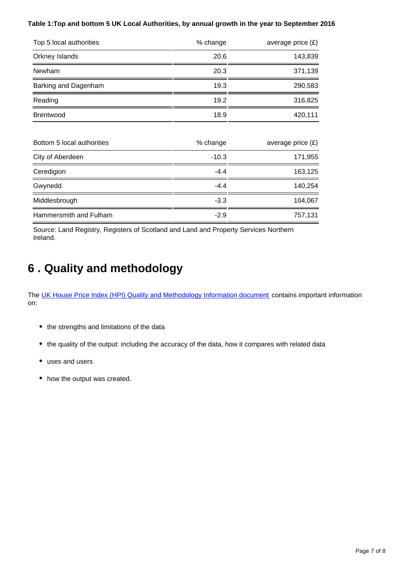#### **Table 1:Top and bottom 5 UK Local Authorities, by annual growth in the year to September 2016**

| Top 5 local authorities    | % change | average price $(E)$ |
|----------------------------|----------|---------------------|
| Orkney Islands             | 20.6     | 143,839             |
| Newham                     | 20.3     | 371,139             |
| Barking and Dagenham       | 19.3     | 290,583             |
| Reading                    | 19.2     | 316,825             |
| <b>Brentwood</b>           | 18.9     | 420,111             |
| Bottom 5 local authorities | % change | average price $(E)$ |
| City of Aberdeen           | $-10.3$  | 171,955             |
| Ceredigion                 | $-4.4$   | 163,125             |
| Gwynedd                    | $-4.4$   | 140,254             |
| Middlesbrough              | $-3.3$   | 104,067             |
| Hammersmith and Fulham     | $-2.9$   | 757,131             |

Source: Land Registry, Registers of Scotland and Land and Property Services Northern Ireland.

# <span id="page-6-0"></span>**6 . Quality and methodology**

The [UK House Price Index \(HPI\) Quality and Methodology Information document](http://www.ons.gov.uk/economy/inflationandpriceindices/qmis/housepriceindexhpiqmi) contains important information on:

- the strengths and limitations of the data
- the quality of the output: including the accuracy of the data, how it compares with related data
- uses and users
- how the output was created.